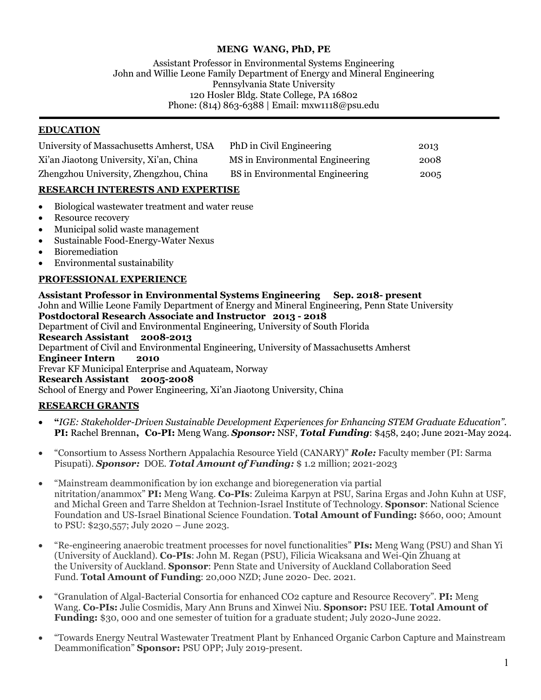### **MENG WANG, PhD, PE**

Assistant Professor in Environmental Systems Engineering John and Willie Leone Family Department of Energy and Mineral Engineering Pennsylvania State University 120 Hosler Bldg. State College, PA 16802 Phone: (814) 863-6388 | Email: mxw1118@psu.edu

#### **EDUCATION**

| University of Massachusetts Amherst, USA | PhD in Civil Engineering        | 2013 |
|------------------------------------------|---------------------------------|------|
| Xi'an Jiaotong University, Xi'an, China  | MS in Environmental Engineering | 2008 |
| Zhengzhou University, Zhengzhou, China   | BS in Environmental Engineering | 2005 |

### **RESEARCH INTERESTS AND EXPERTISE**

- Biological wastewater treatment and water reuse
- Resource recovery
- Municipal solid waste management
- Sustainable Food-Energy-Water Nexus
- Bioremediation
- Environmental sustainability

### **PROFESSIONAL EXPERIENCE**

**Assistant Professor in Environmental Systems Engineering Sep. 2018- present** John and Willie Leone Family Department of Energy and Mineral Engineering, Penn State University **Postdoctoral Research Associate and Instructor 2013 - 2018** Department of Civil and Environmental Engineering, University of South Florida **Research Assistant 2008-2013** Department of Civil and Environmental Engineering, University of Massachusetts Amherst **Engineer Intern 2010** Frevar KF Municipal Enterprise and Aquateam, Norway **Research Assistant 2005-2008** School of Energy and Power Engineering, Xi'an Jiaotong University, China

### **RESEARCH GRANTS**

- **"***IGE: Stakeholder-Driven Sustainable Development Experiences for Enhancing STEM Graduate Education".* **PI:** Rachel Brennan**, Co-PI:** Meng Wang. *Sponsor:* NSF, *Total Funding*: \$458, 240; June 2021-May 2024.
- "Consortium to Assess Northern Appalachia Resource Yield (CANARY)" *Role:* Faculty member (PI: Sarma Pisupati). *Sponsor:* DOE. *Total Amount of Funding:* \$ 1.2 million; 2021-2023
- "Mainstream deammonification by ion exchange and bioregeneration via partial nitritation/anammox" **PI:** Meng Wang. **Co-PIs**: Zuleima Karpyn at PSU, Sarina Ergas and John Kuhn at USF, and Michal Green and Tarre Sheldon at Technion-Israel Institute of Technology. **Sponsor**: National Science Foundation and US-Israel Binational Science Foundation. **Total Amount of Funding:** \$660, 000; Amount to PSU: \$230,557; July 2020 – June 2023.
- "Re-engineering anaerobic treatment processes for novel functionalities" **PIs:** Meng Wang (PSU) and Shan Yi (University of Auckland). **Co-PIs**: John M. Regan (PSU), Filicia Wicaksana and Wei-Qin Zhuang at the University of Auckland. **Sponsor**: Penn State and University of Auckland Collaboration Seed Fund. **Total Amount of Funding**: 20,000 NZD; June 2020- Dec. 2021.
- "Granulation of Algal-Bacterial Consortia for enhanced CO2 capture and Resource Recovery". **PI:** Meng Wang. **Co-PIs:** Julie Cosmidis, Mary Ann Bruns and Xinwei Niu. **Sponsor:** PSU IEE. **Total Amount of Funding:** \$30, 000 and one semester of tuition for a graduate student; July 2020-June 2022.
- "Towards Energy Neutral Wastewater Treatment Plant by Enhanced Organic Carbon Capture and Mainstream Deammonification" **Sponsor:** PSU OPP; July 2019-present.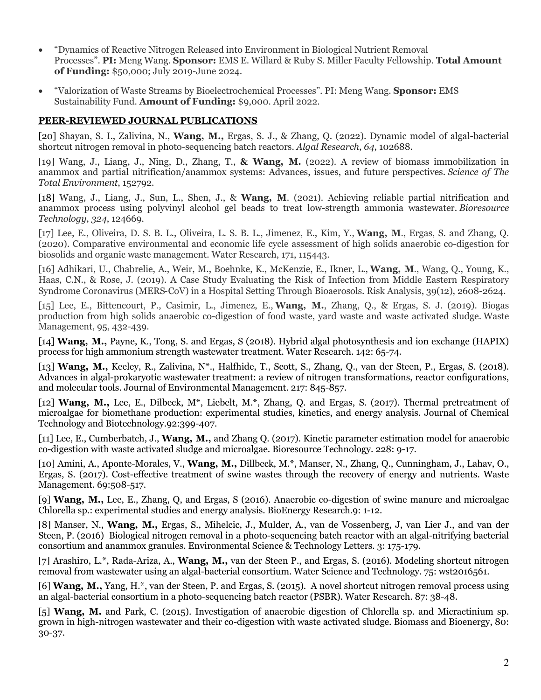- "Dynamics of Reactive Nitrogen Released into Environment in Biological Nutrient Removal Processes". **PI:** Meng Wang. **Sponsor:** EMS E. Willard & Ruby S. Miller Faculty Fellowship. **Total Amount of Funding:** \$50,000; July 2019-June 2024.
- "Valorization of Waste Streams by Bioelectrochemical Processes". PI: Meng Wang. **Sponsor:** EMS Sustainability Fund. **Amount of Funding:** \$9,000. April 2022.

### **PEER-REVIEWED JOURNAL PUBLICATIONS**

[20] Shayan, S. I., Zalivina, N., **Wang, M.,** Ergas, S. J., & Zhang, Q. (2022). Dynamic model of algal-bacterial shortcut nitrogen removal in photo-sequencing batch reactors. *Algal Research*, *64*, 102688.

[19] Wang, J., Liang, J., Ning, D., Zhang, T., **& Wang, M.** (2022). A review of biomass immobilization in anammox and partial nitrification/anammox systems: Advances, issues, and future perspectives. *Science of The Total Environment*, 152792.

[18] Wang, J., Liang, J., Sun, L., Shen, J., & **Wang, M**. (2021). Achieving reliable partial nitrification and anammox process using polyvinyl alcohol gel beads to treat low-strength ammonia wastewater. *Bioresource Technology*, *324*, 124669.

[17] Lee, E., Oliveira, D. S. B. L., Oliveira, L. S. B. L., Jimenez, E., Kim, Y., **Wang, M**., Ergas, S. and Zhang, Q. (2020). Comparative environmental and economic life cycle assessment of high solids anaerobic co-digestion for biosolids and organic waste management. Water Research, 171, 115443.

[16] Adhikari, U., Chabrelie, A., Weir, M., Boehnke, K., McKenzie, E., Ikner, L., **Wang, M**., Wang, Q., Young, K., Haas, C.N., & Rose, J. (2019). A Case Study Evaluating the Risk of Infection from Middle Eastern Respiratory Syndrome Coronavirus (MERS-CoV) in a Hospital Setting Through Bioaerosols. Risk Analysis, 39(12), 2608-2624.

[15] Lee, E., Bittencourt, P., Casimir, L., Jimenez, E., **Wang, M.**, Zhang, Q., & Ergas, S. J. (2019). Biogas production from high solids anaerobic co-digestion of food waste, yard waste and waste activated sludge. Waste Management, 95, 432-439.

[14] **Wang, M.,** Payne, K., Tong, S. and Ergas, S (2018). Hybrid algal photosynthesis and ion exchange (HAPIX) process for high ammonium strength wastewater treatment. Water Research. 142: 65-74.

[13] **Wang, M.,** Keeley, R., Zalivina, N\*., Halfhide, T., Scott, S., Zhang, Q., van der Steen, P., Ergas, S. (2018). Advances in algal-prokaryotic wastewater treatment: a review of nitrogen transformations, reactor configurations, and molecular tools. Journal of Environmental Management. 217: 845-857.

[12] **Wang, M.,** Lee, E., Dilbeck, M\*, Liebelt, M.\*, Zhang, Q. and Ergas, S. (2017). Thermal pretreatment of microalgae for biomethane production: experimental studies, kinetics, and energy analysis. Journal of Chemical Technology and Biotechnology.92:399-407.

[11] Lee, E., Cumberbatch, J., **Wang, M.,** and Zhang Q. (2017). Kinetic parameter estimation model for anaerobic co-digestion with waste activated sludge and microalgae. Bioresource Technology. 228: 9-17.

[10] Amini, A., Aponte-Morales, V., **Wang, M.,** Dillbeck, M.\*, Manser, N., Zhang, Q., Cunningham, J., Lahav, O., Ergas, S. (2017). Cost-effective treatment of swine wastes through the recovery of energy and nutrients. Waste Management. 69:508-517.

[9] **Wang, M.,** Lee, E., Zhang, Q, and Ergas, S (2016). Anaerobic co-digestion of swine manure and microalgae Chlorella sp.: experimental studies and energy analysis. BioEnergy Research.9: 1-12.

[8] Manser, N., **Wang, M.,** Ergas, S., Mihelcic, J., Mulder, A., van de Vossenberg, J, van Lier J., and van der Steen, P. (2016) Biological nitrogen removal in a photo-sequencing batch reactor with an algal-nitrifying bacterial consortium and anammox granules. Environmental Science & Technology Letters. 3: 175-179.

[7] Arashiro, L.\*, Rada-Ariza, A., **Wang, M.,** van der Steen P., and Ergas, S. (2016). Modeling shortcut nitrogen removal from wastewater using an algal-bacterial consortium. Water Science and Technology. 75: wst2016561.

[6] **Wang, M.,** Yang, H.\*, van der Steen, P. and Ergas, S. (2015). A novel shortcut nitrogen removal process using an algal-bacterial consortium in a photo-sequencing batch reactor (PSBR). Water Research. 87: 38-48.

[5] **Wang, M.** and Park, C. (2015). Investigation of anaerobic digestion of Chlorella sp. and Micractinium sp. grown in high-nitrogen wastewater and their co-digestion with waste activated sludge. Biomass and Bioenergy, 80: 30-37.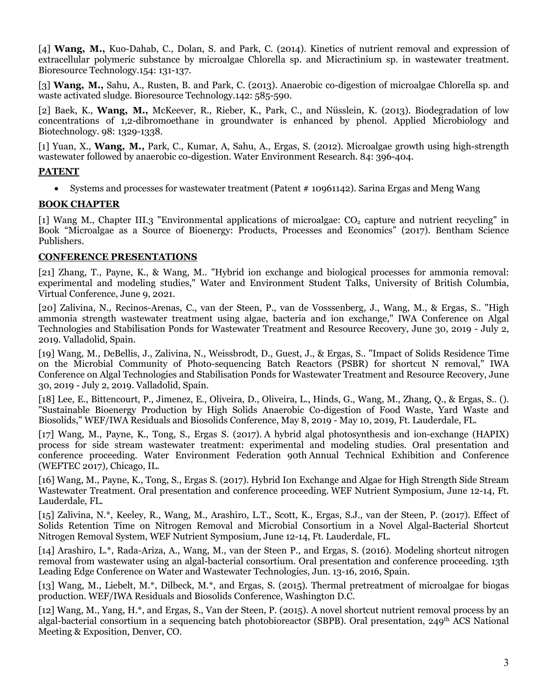[4] **Wang, M.,** Kuo-Dahab, C., Dolan, S. and Park, C. (2014). Kinetics of nutrient removal and expression of extracellular polymeric substance by microalgae Chlorella sp. and Micractinium sp. in wastewater treatment. Bioresource Technology.154: 131-137.

[3] **Wang, M.,** Sahu, A., Rusten, B. and Park, C. (2013). Anaerobic co-digestion of microalgae Chlorella sp. and waste activated sludge. Bioresource Technology.142: 585-590.

[2] Baek, K., **Wang, M.,** McKeever, R., Rieber, K., Park, C., and Nüsslein, K. (2013). Biodegradation of low concentrations of 1,2-dibromoethane in groundwater is enhanced by phenol. Applied Microbiology and Biotechnology. 98: 1329-1338.

[1] Yuan, X., **Wang, M.,** Park, C., Kumar, A, Sahu, A., Ergas, S. (2012). Microalgae growth using high-strength wastewater followed by anaerobic co-digestion. Water Environment Research. 84: 396-404.

#### **PATENT**

• Systems and processes for wastewater treatment (Patent # 10961142). Sarina Ergas and Meng Wang

#### **BOOK CHAPTER**

[1] Wang M., Chapter III.3 "Environmental applications of microalgae:  $CO<sub>2</sub>$  capture and nutrient recycling" in Book "Microalgae as a Source of Bioenergy: Products, Processes and Economics" (2017). Bentham Science Publishers.

#### **CONFERENCE PRESENTATIONS**

[21] Zhang, T., Payne, K., & Wang, M.. "Hybrid ion exchange and biological processes for ammonia removal: experimental and modeling studies," Water and Environment Student Talks, University of British Columbia, Virtual Conference, June 9, 2021.

[20] Zalivina, N., Recinos-Arenas, C., van der Steen, P., van de Vosssenberg, J., Wang, M., & Ergas, S.. "High ammonia strength wastewater treatment using algae, bacteria and ion exchange," IWA Conference on Algal Technologies and Stabilisation Ponds for Wastewater Treatment and Resource Recovery, June 30, 2019 - July 2, 2019. Valladolid, Spain.

[19] Wang, M., DeBellis, J., Zalivina, N., Weissbrodt, D., Guest, J., & Ergas, S.. "Impact of Solids Residence Time on the Microbial Community of Photo-sequencing Batch Reactors (PSBR) for shortcut N removal," IWA Conference on Algal Technologies and Stabilisation Ponds for Wastewater Treatment and Resource Recovery, June 30, 2019 - July 2, 2019. Valladolid, Spain.

[18] Lee, E., Bittencourt, P., Jimenez, E., Oliveira, D., Oliveira, L., Hinds, G., Wang, M., Zhang, Q., & Ergas, S.. (). "Sustainable Bioenergy Production by High Solids Anaerobic Co-digestion of Food Waste, Yard Waste and Biosolids," WEF/IWA Residuals and Biosolids Conference, May 8, 2019 - May 10, 2019, Ft. Lauderdale, FL.

[17] Wang, M., Payne, K., Tong, S., Ergas S. (2017). A hybrid algal photosynthesis and ion-exchange (HAPIX) process for side stream wastewater treatment: experimental and modeling studies. Oral presentation and conference proceeding. Water Environment Federation 90th Annual Technical Exhibition and Conference (WEFTEC 2017), Chicago, IL.

[16] Wang, M., Payne, K., Tong, S., Ergas S. (2017). Hybrid Ion Exchange and Algae for High Strength Side Stream Wastewater Treatment. Oral presentation and conference proceeding. WEF Nutrient Symposium, June 12-14, Ft. Lauderdale, FL.

[15] Zalivina, N.\*, Keeley, R., Wang, M., Arashiro, L.T., Scott, K., Ergas, S.J., van der Steen, P. (2017). Effect of Solids Retention Time on Nitrogen Removal and Microbial Consortium in a Novel Algal-Bacterial Shortcut Nitrogen Removal System, WEF Nutrient Symposium, June 12-14, Ft. Lauderdale, FL.

[14] Arashiro, L.\*, Rada-Ariza, A., Wang, M., van der Steen P., and Ergas, S. (2016). Modeling shortcut nitrogen removal from wastewater using an algal-bacterial consortium. Oral presentation and conference proceeding. 13th Leading Edge Conference on Water and Wastewater Technologies, Jun. 13-16, 2016, Spain.

[13] Wang, M., Liebelt, M.\*, Dilbeck, M.\*, and Ergas, S. (2015). Thermal pretreatment of microalgae for biogas production. WEF/IWA Residuals and Biosolids Conference, Washington D.C.

[12] Wang, M., Yang, H.\*, and Ergas, S., Van der Steen, P. (2015). A novel shortcut nutrient removal process by an algal-bacterial consortium in a sequencing batch photobioreactor (SBPB). Oral presentation, 249th ACS National Meeting & Exposition, Denver, CO.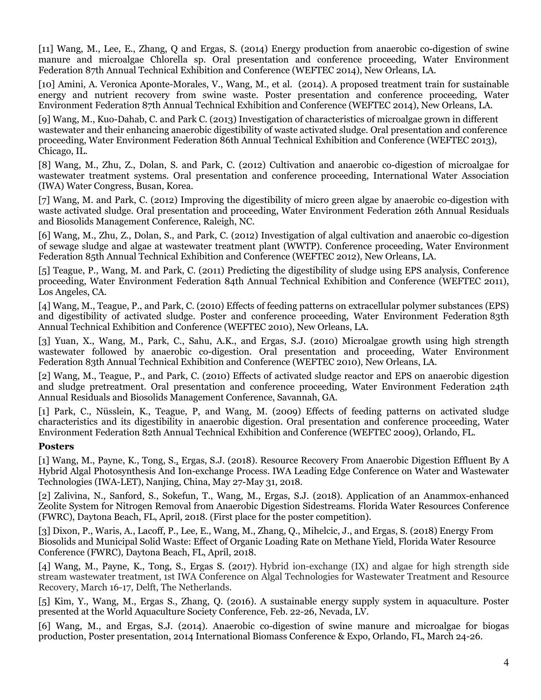[11] Wang, M., Lee, E., Zhang, Q and Ergas, S. (2014) Energy production from anaerobic co-digestion of swine manure and microalgae Chlorella sp. Oral presentation and conference proceeding, Water Environment Federation 87th Annual Technical Exhibition and Conference (WEFTEC 2014), New Orleans, LA.

[10] Amini, A. Veronica Aponte-Morales, V., Wang, M., et al. (2014). A proposed treatment train for sustainable energy and nutrient recovery from swine waste. Poster presentation and conference proceeding, Water Environment Federation 87th Annual Technical Exhibition and Conference (WEFTEC 2014), New Orleans, LA.

[9] Wang, M., Kuo-Dahab, C. and Park C. (2013) Investigation of characteristics of microalgae grown in different wastewater and their enhancing anaerobic digestibility of waste activated sludge. Oral presentation and conference proceeding, Water Environment Federation 86th Annual Technical Exhibition and Conference (WEFTEC 2013), Chicago, IL.

[8] Wang, M., Zhu, Z., Dolan, S. and Park, C. (2012) Cultivation and anaerobic co-digestion of microalgae for wastewater treatment systems. Oral presentation and conference proceeding, International Water Association (IWA) Water Congress, Busan, Korea.

[7] Wang, M. and Park, C. (2012) Improving the digestibility of micro green algae by anaerobic co-digestion with waste activated sludge. Oral presentation and proceeding, Water Environment Federation 26th Annual Residuals and Biosolids Management Conference, Raleigh, NC.

[6] Wang, M., Zhu, Z., Dolan, S., and Park, C. (2012) Investigation of algal cultivation and anaerobic co-digestion of sewage sludge and algae at wastewater treatment plant (WWTP). Conference proceeding, Water Environment Federation 85th Annual Technical Exhibition and Conference (WEFTEC 2012), New Orleans, LA.

[5] Teague, P., Wang, M. and Park, C. (2011) Predicting the digestibility of sludge using EPS analysis, Conference proceeding, Water Environment Federation 84th Annual Technical Exhibition and Conference (WEFTEC 2011), Los Angeles, CA.

[4] Wang, M., Teague, P., and Park, C. (2010) Effects of feeding patterns on extracellular polymer substances (EPS) and digestibility of activated sludge. Poster and conference proceeding, Water Environment Federation 83th Annual Technical Exhibition and Conference (WEFTEC 2010), New Orleans, LA.

[3] Yuan, X., Wang, M., Park, C., Sahu, A.K., and Ergas, S.J. (2010) Microalgae growth using high strength wastewater followed by anaerobic co-digestion. Oral presentation and proceeding, Water Environment Federation 83th Annual Technical Exhibition and Conference (WEFTEC 2010), New Orleans, LA.

[2] Wang, M., Teague, P., and Park, C. (2010) Effects of activated sludge reactor and EPS on anaerobic digestion and sludge pretreatment. Oral presentation and conference proceeding, Water Environment Federation 24th Annual Residuals and Biosolids Management Conference, Savannah, GA.

[1] Park, C., Nüsslein, K., Teague, P, and Wang, M. (2009) Effects of feeding patterns on activated sludge characteristics and its digestibility in anaerobic digestion. Oral presentation and conference proceeding, Water Environment Federation 82th Annual Technical Exhibition and Conference (WEFTEC 2009), Orlando, FL.

### **Posters**

[1] Wang, M., Payne, K., Tong, S., Ergas, S.J. (2018). Resource Recovery From Anaerobic Digestion Effluent By A Hybrid Algal Photosynthesis And Ion-exchange Process. IWA Leading Edge Conference on Water and Wastewater Technologies (IWA-LET), Nanjing, China, May 27-May 31, 2018.

[2] Zalivina, N., Sanford, S., Sokefun, T., Wang, M., Ergas, S.J. (2018). Application of an Anammox-enhanced Zeolite System for Nitrogen Removal from Anaerobic Digestion Sidestreams. Florida Water Resources Conference (FWRC), Daytona Beach, FL, April, 2018. (First place for the poster competition).

[3] Dixon, P., Waris, A., Lacoff, P., Lee, E., Wang, M., Zhang, Q., Mihelcic, J., and Ergas, S. (2018) Energy From Biosolids and Municipal Solid Waste: Effect of Organic Loading Rate on Methane Yield, Florida Water Resource Conference (FWRC), Daytona Beach, FL, April, 2018.

[4] Wang, M., Payne, K., Tong, S., Ergas S. (2017). Hybrid ion-exchange (IX) and algae for high strength side stream wastewater treatment, 1st IWA Conference on Algal Technologies for Wastewater Treatment and Resource Recovery, March 16-17, Delft, The Netherlands.

[5] Kim, Y., Wang, M., Ergas S., Zhang, Q. (2016). A sustainable energy supply system in aquaculture. Poster presented at the World Aquaculture Society Conference, Feb. 22-26, Nevada, LV.

[6] Wang, M., and Ergas, S.J. (2014). Anaerobic co-digestion of swine manure and microalgae for biogas production, Poster presentation, 2014 International Biomass Conference & Expo, Orlando, FL, March 24-26.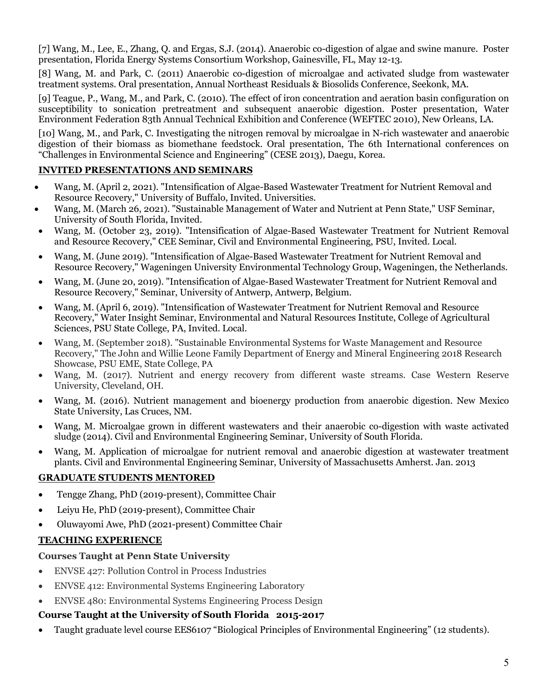[7] Wang, M., Lee, E., Zhang, Q. and Ergas, S.J. (2014). Anaerobic co-digestion of algae and swine manure. Poster presentation, Florida Energy Systems Consortium Workshop, Gainesville, FL, May 12-13.

[8] Wang, M. and Park, C. (2011) Anaerobic co-digestion of microalgae and activated sludge from wastewater treatment systems. Oral presentation, Annual Northeast Residuals & Biosolids Conference, Seekonk, MA.

[9] Teague, P., Wang, M., and Park, C. (2010). The effect of iron concentration and aeration basin configuration on susceptibility to sonication pretreatment and subsequent anaerobic digestion. Poster presentation, Water Environment Federation 83th Annual Technical Exhibition and Conference (WEFTEC 2010), New Orleans, LA.

[10] Wang, M., and Park, C. Investigating the nitrogen removal by microalgae in N-rich wastewater and anaerobic digestion of their biomass as biomethane feedstock. Oral presentation, The 6th International conferences on "Challenges in Environmental Science and Engineering" (CESE 2013), Daegu, Korea.

# **INVITED PRESENTATIONS AND SEMINARS**

- Wang, M. (April 2, 2021). "Intensification of Algae-Based Wastewater Treatment for Nutrient Removal and Resource Recovery," University of Buffalo, Invited. Universities.
- Wang, M. (March 26, 2021). "Sustainable Management of Water and Nutrient at Penn State," USF Seminar, University of South Florida, Invited.
- Wang, M. (October 23, 2019). "Intensification of Algae-Based Wastewater Treatment for Nutrient Removal and Resource Recovery," CEE Seminar, Civil and Environmental Engineering, PSU, Invited. Local.
- Wang, M. (June 2019). "Intensification of Algae-Based Wastewater Treatment for Nutrient Removal and Resource Recovery," Wageningen University Environmental Technology Group, Wageningen, the Netherlands.
- Wang, M. (June 20, 2019). "Intensification of Algae-Based Wastewater Treatment for Nutrient Removal and Resource Recovery," Seminar, University of Antwerp, Antwerp, Belgium.
- Wang, M. (April 6, 2019). "Intensification of Wastewater Treatment for Nutrient Removal and Resource Recovery," Water Insight Seminar, Environmental and Natural Resources Institute, College of Agricultural Sciences, PSU State College, PA, Invited. Local.
- Wang, M. (September 2018). "Sustainable Environmental Systems for Waste Management and Resource Recovery," The John and Willie Leone Family Department of Energy and Mineral Engineering 2018 Research Showcase, PSU EME, State College, PA
- Wang, M. (2017). Nutrient and energy recovery from different waste streams. Case Western Reserve University, Cleveland, OH.
- Wang, M. (2016). Nutrient management and bioenergy production from anaerobic digestion. New Mexico State University, Las Cruces, NM.
- Wang, M. Microalgae grown in different wastewaters and their anaerobic co-digestion with waste activated sludge (2014). Civil and Environmental Engineering Seminar, University of South Florida.
- Wang, M. Application of microalgae for nutrient removal and anaerobic digestion at wastewater treatment plants. Civil and Environmental Engineering Seminar, University of Massachusetts Amherst. Jan. 2013

# **GRADUATE STUDENTS MENTORED**

- Tengge Zhang, PhD (2019-present), Committee Chair
- Leiyu He, PhD (2019-present), Committee Chair
- Oluwayomi Awe, PhD (2021-present) Committee Chair

# **TEACHING EXPERIENCE**

# **Courses Taught at Penn State University**

- ENVSE 427: Pollution Control in Process Industries
- ENVSE 412: Environmental Systems Engineering Laboratory
- ENVSE 480: Environmental Systems Engineering Process Design

# **Course Taught at the University of South Florida 2015-2017**

• Taught graduate level course EES6107 "Biological Principles of Environmental Engineering" (12 students).